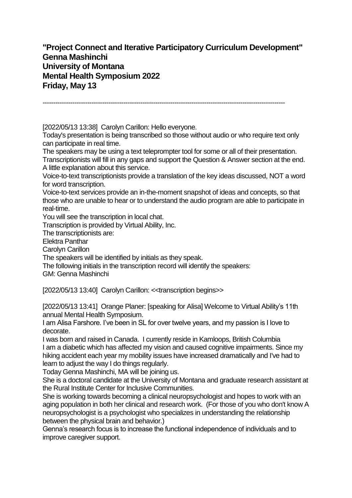**"Project Connect and Iterative Participatory Curriculum Development" Genna Mashinchi University of Montana Mental Health Symposium 2022 Friday, May 13**

------------------------------------------------------------------------------------------------------------------

[2022/05/13 13:38] Carolyn Carillon: Hello everyone.

Today's presentation is being transcribed so those without audio or who require text only can participate in real time.

The speakers may be using a text teleprompter tool for some or all of their presentation. Transcriptionists will fill in any gaps and support the Question & Answer section at the end. A little explanation about this service.

Voice-to-text transcriptionists provide a translation of the key ideas discussed, NOT a word for word transcription.

Voice-to-text services provide an in-the-moment snapshot of ideas and concepts, so that those who are unable to hear or to understand the audio program are able to participate in real-time.

You will see the transcription in local chat.

Transcription is provided by Virtual Ability, Inc.

The transcriptionists are:

Elektra Panthar

Carolyn Carillon

The speakers will be identified by initials as they speak.

The following initials in the transcription record will identify the speakers:

GM: Genna Mashinchi

[2022/05/13 13:40] Carolyn Carillon: <<transcription begins>>

[2022/05/13 13:41] Orange Planer: [speaking for Alisa] Welcome to Virtual Ability's 11th annual Mental Health Symposium.

I am Alisa Farshore. I've been in SL for over twelve years, and my passion is I love to decorate.

I was born and raised in Canada. I currently reside in Kamloops, British Columbia I am a diabetic which has affected my vision and caused cognitive impairments. Since my hiking accident each year my mobility issues have increased dramatically and I've had to learn to adjust the way I do things regularly.

Today Genna Mashinchi, MA will be joining us.

She is a doctoral candidate at the University of Montana and graduate research assistant at the Rural Institute Center for Inclusive Communities.

She is working towards becoming a clinical neuropsychologist and hopes to work with an aging population in both her clinical and research work. (For those of you who don't know A neuropsychologist is a psychologist who specializes in understanding the relationship between the physical brain and behavior.)

Genna's research focus is to increase the functional independence of individuals and to improve caregiver support.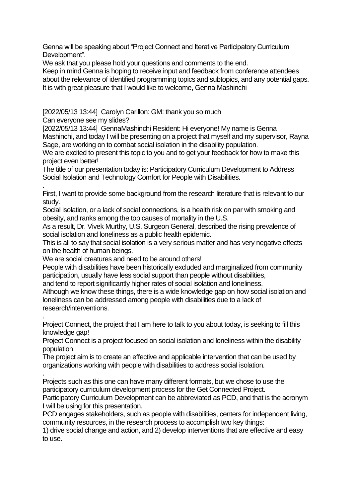Genna will be speaking about "Project Connect and Iterative Participatory Curriculum Development".

We ask that you please hold your questions and comments to the end.

Keep in mind Genna is hoping to receive input and feedback from conference attendees about the relevance of identified programming topics and subtopics, and any potential gaps. It is with great pleasure that I would like to welcome, Genna Mashinchi

[2022/05/13 13:44] Carolyn Carillon: GM: thank you so much

Can everyone see my slides?

.

[2022/05/13 13:44] GennaMashinchi Resident: Hi everyone! My name is Genna Mashinchi, and today I will be presenting on a project that myself and my supervisor, Rayna Sage, are working on to combat social isolation in the disability population.

We are excited to present this topic to you and to get your feedback for how to make this project even better!

The title of our presentation today is: Participatory Curriculum Development to Address Social Isolation and Technology Comfort for People with Disabilities.

. First, I want to provide some background from the research literature that is relevant to our study.

Social isolation, or a lack of social connections, is a health risk on par with smoking and obesity, and ranks among the top causes of mortality in the U.S.

As a result, Dr. Vivek Murthy, U.S. Surgeon General, described the rising prevalence of social isolation and loneliness as a public health epidemic.

This is all to say that social isolation is a very serious matter and has very negative effects on the health of human beings.

We are social creatures and need to be around others!

People with disabilities have been historically excluded and marginalized from community participation, usually have less social support than people without disabilities,

and tend to report significantly higher rates of social isolation and loneliness.

Although we know these things, there is a wide knowledge gap on how social isolation and loneliness can be addressed among people with disabilities due to a lack of research/interventions.

Project Connect, the project that I am here to talk to you about today, is seeking to fill this knowledge gap!

Project Connect is a project focused on social isolation and loneliness within the disability population.

The project aim is to create an effective and applicable intervention that can be used by organizations working with people with disabilities to address social isolation.

. Projects such as this one can have many different formats, but we chose to use the participatory curriculum development process for the Get Connected Project.

Participatory Curriculum Development can be abbreviated as PCD, and that is the acronym I will be using for this presentation.

PCD engages stakeholders, such as people with disabilities, centers for independent living, community resources, in the research process to accomplish two key things:

1) drive social change and action, and 2) develop interventions that are effective and easy to use.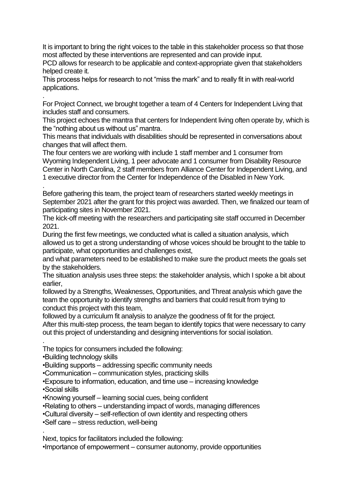It is important to bring the right voices to the table in this stakeholder process so that those most affected by these interventions are represented and can provide input.

PCD allows for research to be applicable and context-appropriate given that stakeholders helped create it.

This process helps for research to not "miss the mark" and to really fit in with real-world applications.

. For Project Connect, we brought together a team of 4 Centers for Independent Living that includes staff and consumers.

This project echoes the mantra that centers for Independent living often operate by, which is the "nothing about us without us" mantra.

This means that individuals with disabilities should be represented in conversations about changes that will affect them.

The four centers we are working with include 1 staff member and 1 consumer from Wyoming Independent Living, 1 peer advocate and 1 consumer from Disability Resource Center in North Carolina, 2 staff members from Alliance Center for Independent Living, and 1 executive director from the Center for Independence of the Disabled in New York.

. Before gathering this team, the project team of researchers started weekly meetings in September 2021 after the grant for this project was awarded. Then, we finalized our team of participating sites in November 2021.

The kick-off meeting with the researchers and participating site staff occurred in December 2021.

During the first few meetings, we conducted what is called a situation analysis, which allowed us to get a strong understanding of whose voices should be brought to the table to participate, what opportunities and challenges exist,

and what parameters need to be established to make sure the product meets the goals set by the stakeholders.

The situation analysis uses three steps: the stakeholder analysis, which I spoke a bit about earlier,

followed by a Strengths, Weaknesses, Opportunities, and Threat analysis which gave the team the opportunity to identify strengths and barriers that could result from trying to conduct this project with this team,

followed by a curriculum fit analysis to analyze the goodness of fit for the project.

After this multi-step process, the team began to identify topics that were necessary to carry out this project of understanding and designing interventions for social isolation.

The topics for consumers included the following:

•Building technology skills

•Building supports – addressing specific community needs

•Communication – communication styles, practicing skills

•Exposure to information, education, and time use – increasing knowledge

•Social skills

.

.

•Knowing yourself – learning social cues, being confident

•Relating to others – understanding impact of words, managing differences

•Cultural diversity – self-reflection of own identity and respecting others

•Self care – stress reduction, well-being

Next, topics for facilitators included the following:

•Importance of empowerment – consumer autonomy, provide opportunities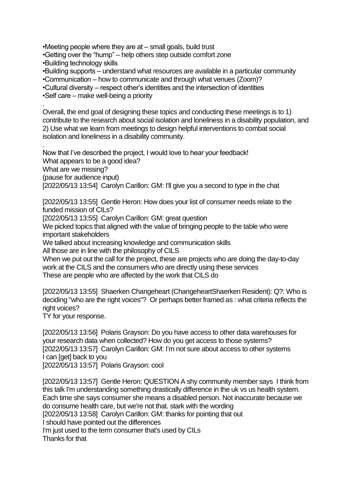•Meeting people where they are at – small goals, build trust

•Getting over the "hump" – help others step outside comfort zone •Building technology skills

•Building supports – understand what resources are available in a particular community

•Communication – how to communicate and through what venues (Zoom)?

•Cultural diversity – respect other's identities and the intersection of identities

•Self care – make well-being a priority

. Overall, the end goal of designing these topics and conducting these meetings is to 1) contribute to the research about social isolation and loneliness in a disability population, and 2) Use what we learn from meetings to design helpful interventions to combat social isolation and loneliness in a disability community.

. Now that I've described the project, I would love to hear your feedback! What appears to be a good idea? What are we missing? (pause for audience input) [2022/05/13 13:54] Carolyn Carillon: GM: I'll give you a second to type in the chat

[2022/05/13 13:55] Gentle Heron: How does your list of consumer needs relate to the funded mission of CILs?

[2022/05/13 13:55] Carolyn Carillon: GM: great question

We picked topics that aligned with the value of bringing people to the table who were important stakeholders

We talked about increasing knowledge and communication skills

All those are in line with the philosophy of CILS

When we put out the call for the project, these are projects who are doing the day-to-day work at the CILS and the consumers who are directly using these services These are people who are affected by the work that CILS do

[2022/05/13 13:55] Shaerken Changeheart (ChangeheartShaerken Resident): Q?: Who is deciding "who are the right voices"? Or perhaps better framed as : what criteria reflects the right voices?

TY for your response.

[2022/05/13 13:56] Polaris Grayson: Do you have access to other data warehouses for your research data when collected? How do you get access to those systems? [2022/05/13 13:57] Carolyn Carillon: GM: I'm not sure about access to other systems I can [get] back to you [2022/05/13 13:57] Polaris Grayson: cool

[2022/05/13 13:57] Gentle Heron: QUESTION A shy community member says I think from this talk I'm understanding something drastically difference in the uk vs us health system. Each time she says consumer she means a disabled person. Not inaccurate because we do consume health care, but we're not that. stark with the wording [2022/05/13 13:58] Carolyn Carillon: GM: thanks for pointing that out I should have pointed out the differences I'm just used to the term consumer that's used by CILs Thanks for that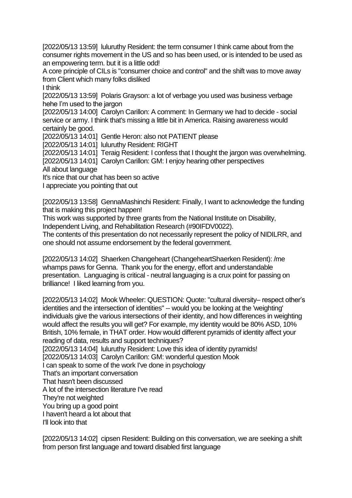[2022/05/13 13:59] luluruthy Resident: the term consumer I think came about from the consumer rights movement in the US and so has been used, or is intended to be used as an empowering term. but it is a little odd!

A core principle of CILs is "consumer choice and control" and the shift was to move away from Client which many folks disliked

I think

[2022/05/13 13:59] Polaris Grayson: a lot of verbage you used was business verbage hehe I'm used to the jargon

[2022/05/13 14:00] Carolyn Carillon: A comment: In Germany we had to decide - social service or army. I think that's missing a little bit in America. Raising awareness would certainly be good.

[2022/05/13 14:01] Gentle Heron: also not PATIENT please

[2022/05/13 14:01] luluruthy Resident: RIGHT

[2022/05/13 14:01] Teraig Resident: I confess that I thought the jargon was overwhelming.

[2022/05/13 14:01] Carolyn Carillon: GM: I enjoy hearing other perspectives

All about language

It's nice that our chat has been so active

I appreciate you pointing that out

[2022/05/13 13:58] GennaMashinchi Resident: Finally, I want to acknowledge the funding that is making this project happen!

This work was supported by three grants from the National Institute on Disability, Independent Living, and Rehabilitation Research (#90IFDV0022).

The contents of this presentation do not necessarily represent the policy of NIDILRR, and one should not assume endorsement by the federal government.

[2022/05/13 14:02] Shaerken Changeheart (ChangeheartShaerken Resident): /me whamps paws for Genna. Thank you for the energy, effort and understandable presentation. Languaging is critical - neutral languaging is a crux point for passing on brilliance! I liked learning from you.

[2022/05/13 14:02] Mook Wheeler: QUESTION: Quote: "cultural diversity– respect other's identities and the intersection of identities" -- would you be looking at the 'weighting' individuals give the various intersections of their identity, and how differences in weighting would affect the results you will get? For example, my identity would be 80% ASD, 10% British, 10% female, in THAT order. How would different pyramids of identity affect your reading of data, results and support techniques? [2022/05/13 14:04] luluruthy Resident: Love this idea of identity pyramids!

[2022/05/13 14:03] Carolyn Carillon: GM: wonderful question Mook

I can speak to some of the work I've done in psychology

That's an important conversation

That hasn't been discussed

A lot of the intersection literature I've read

They're not weighted

You bring up a good point

I haven't heard a lot about that

I'll look into that

[2022/05/13 14:02] cipsen Resident: Building on this conversation, we are seeking a shift from person first language and toward disabled first language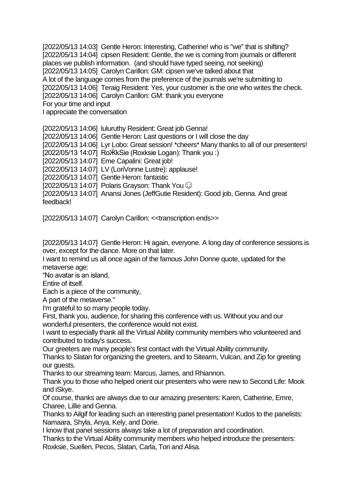[2022/05/13 14:03] Gentle Heron: Interesting, Catherine! who is "we" that is shifting? [2022/05/13 14:04] cipsen Resident: Gentle, the we is coming from journals or different places we publish information. (and should have typed seeing, not seeking) [2022/05/13 14:05] Carolyn Carillon: GM: cipsen we've talked about that A lot of the language comes from the preference of the journals we're submitting to [2022/05/13 14:06] Teraig Resident: Yes, your customer is the one who writes the check. [2022/05/13 14:06] Carolyn Carillon: GM: thank you everyone For your time and input I appreciate the conversation

[2022/05/13 14:06] luluruthy Resident: Great job Genna!

[2022/05/13 14:06] Gentle Heron: Last questions or I will close the day

[2022/05/13 14:06] Lyr Lobo: Great session! \*cheers\* Many thanks to all of our presenters!

[2022/05/13 14:07] RoӜkSie (Roxksie Logan): Thank you :)

[2022/05/13 14:07] Eme Capalini: Great job!

[2022/05/13 14:07] LV (LoriVonne Lustre): applause!

[2022/05/13 14:07] Gentle Heron: fantastic

[2022/05/13 14:07] Polaris Grayson: Thank You  $\odot$ 

[2022/05/13 14:07] Anansi Jones (JeffGutie Resident): Good job, Genna. And great feedback!

[2022/05/13 14:07] Carolyn Carillon: <<transcription ends>>

[2022/05/13 14:07] Gentle Heron: Hi again, everyone. A long day of conference sessions is over, except for the dance. More on that later.

I want to remind us all once again of the famous John Donne quote, updated for the metaverse age:

"No avatar is an island,

Entire of itself.

Each is a piece of the community,

A part of the metaverse."

I'm grateful to so many people today.

First, thank you, audience, for sharing this conference with us. Without you and our wonderful presenters, the conference would not exist.

I want to especially thank all the Virtual Ability community members who volunteered and contributed to today's success.

Our greeters are many people's first contact with the Virtual Ability community.

Thanks to Slatan for organizing the greeters, and to Sitearm, Vulcan, and Zip for greeting our guests.

Thanks to our streaming team: Marcus, James, and Rhiannon.

Thank you to those who helped orient our presenters who were new to Second Life: Mook and iSkye.

Of course, thanks are always due to our amazing presenters: Karen, Catherine, Emre, Charee, Lillie and Genna.

Thanks to Ailgif for leading such an interesting panel presentation! Kudos to the panelists: Namaara, Shyla, Anya, Kely, and Dorie.

I know that panel sessions always take a lot of preparation and coordination.

Thanks to the Virtual Ability community members who helped introduce the presenters: Roxksie, Suellen, Pecos, Slatan, Carla, Tori and Alisa.